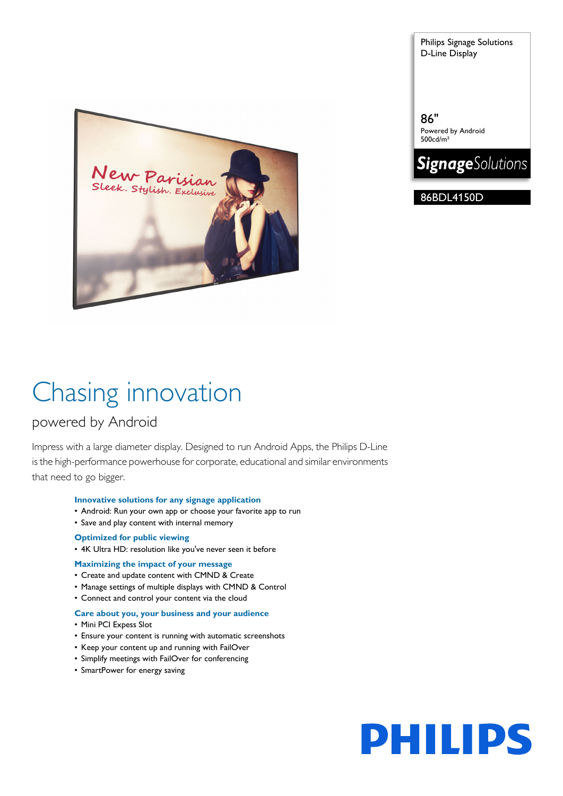

Philips Signage Solutions D-Line Display

86" Powered by Android 500cd/m²



86BDL4150D

# Chasing innovation

# powered by Android

Impress with a large diameter display. Designed to run Android Apps, the Philips D-Line is the high-performance powerhouse for corporate, educational and similar environments that need to go bigger.

# **Innovative solutions for any signage application**

- Android: Run your own app or choose your favorite app to run
- Save and play content with internal memory

# **Optimized for public viewing**

• 4K Ultra HD: resolution like you've never seen it before

# **Maximizing the impact of your message**

- Create and update content with CMND & Create
- Manage settings of multiple displays with CMND & Control
- Connect and control your content via the cloud

# **Care about you, your business and your audience**

- Mini PCI Expess Slot
- Ensure your content is running with automatic screenshots
- Keep your content up and running with FailOver
- Simplify meetings with FailOver for conferencing
- SmartPower for energy saving

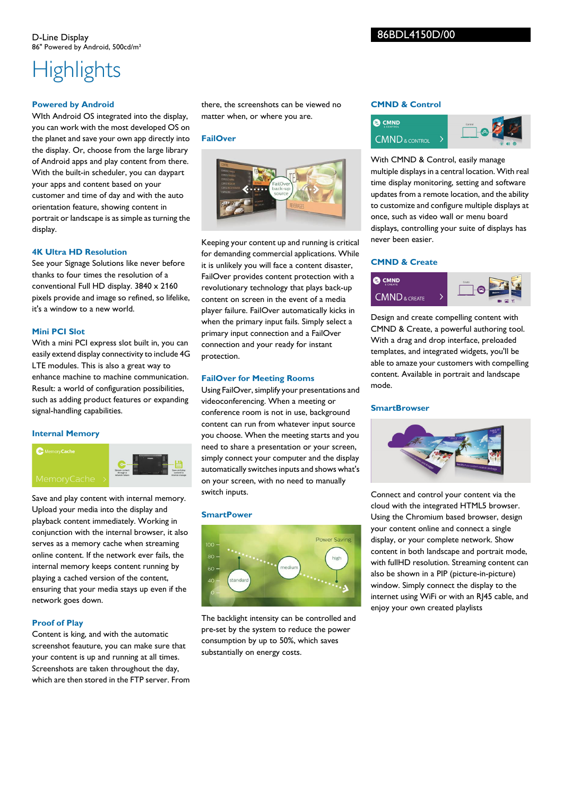# **Highlights**

# **Powered by Android**

WIth Android OS integrated into the display, you can work with the most developed OS on the planet and save your own app directly into the display. Or, choose from the large library of Android apps and play content from there. With the built-in scheduler, you can daypart your apps and content based on your customer and time of day and with the auto orientation feature, showing content in portrait or landscape is as simple as turning the display.

# **4K Ultra HD Resolution**

See your Signage Solutions like never before thanks to four times the resolution of a conventional Full HD display. 3840 x 2160 pixels provide and image so refined, so lifelike, it's a window to a new world.

# **Mini PCI Slot**

With a mini PCI express slot built in, you can easily extend display connectivity to include 4G LTE modules. This is also a great way to enhance machine to machine communication. Result: a world of configuration possibilities, such as adding product features or expanding signal-handling capabilities.

# **Internal Memory**



Save and play content with internal memory. Upload your media into the display and playback content immediately. Working in conjunction with the internal browser, it also serves as a memory cache when streaming online content. If the network ever fails, the internal memory keeps content running by playing a cached version of the content, ensuring that your media stays up even if the network goes down.

# **Proof of Play**

Content is king, and with the automatic screenshot feauture, you can make sure that your content is up and running at all times. Screenshots are taken throughout the day, which are then stored in the FTP server. From there, the screenshots can be viewed no matter when, or where you are.

# **FailOver**



Keeping your content up and running is critical for demanding commercial applications. While it is unlikely you will face a content disaster, FailOver provides content protection with a revolutionary technology that plays back-up content on screen in the event of a media player failure. FailOver automatically kicks in when the primary input fails. Simply select a primary input connection and a FailOver connection and your ready for instant protection.

# **FailOver for Meeting Rooms**

Using FailOver, simplify your presentations and videoconferencing. When a meeting or conference room is not in use, background content can run from whatever input source you choose. When the meeting starts and you need to share a presentation or your screen, simply connect your computer and the display automatically switches inputs and shows what's on your screen, with no need to manually switch inputs.

### **SmartPower**



The backlight intensity can be controlled and pre-set by the system to reduce the power consumption by up to 50%, which saves substantially on energy costs.

# **CMND & Control**



With CMND & Control, easily manage multiple displays in a central location. With real time display monitoring, setting and software updates from a remote location, and the ability to customize and configure multiple displays at once, such as video wall or menu board displays, controlling your suite of displays has never been easier.

# **CMND & Create**



Design and create compelling content with CMND & Create, a powerful authoring tool. With a drag and drop interface, preloaded templates, and integrated widgets, you'll be able to amaze your customers with compelling content. Available in portrait and landscape mode.

#### **SmartBrowser**



Connect and control your content via the cloud with the integrated HTML5 browser. Using the Chromium based browser, design your content online and connect a single display, or your complete network. Show content in both landscape and portrait mode, with fullHD resolution. Streaming content can also be shown in a PIP (picture-in-picture) window. Simply connect the display to the internet using WiFi or with an RJ45 cable, and enjoy your own created playlists

# 86BDL4150D/00